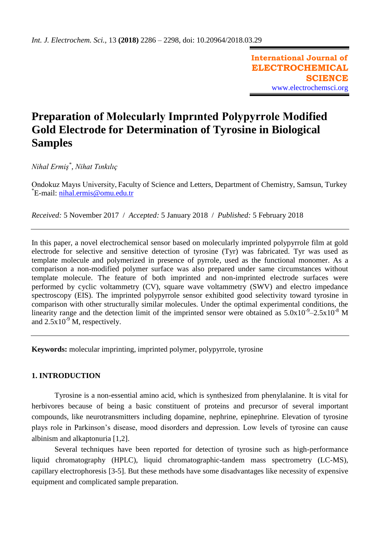**International Journal of ELECTROCHEMICAL SCIENCE** [www.electrochemsci.org](http://www.electrochemsci.org/)

# **Preparation of Molecularly Imprınted Polypyrrole Modified Gold Electrode for Determination of Tyrosine in Biological Samples**

*Nihal Ermiş\* , Nihat Tınkılıç*

Ondokuz Mayıs University, Faculty of Science and Letters, Department of Chemistry, Samsun, Turkey \*E-mail: <u>[nihal.ermis@omu.edu.tr](mailto:nihal.ermis@omu.edu.tr)</u>

*Received:* 5 November 2017/ *Accepted:* 5 January 2018 / *Published:* 5 February 2018

In this paper, a novel electrochemical sensor based on molecularly imprinted polypyrrole film at gold electrode for selective and sensitive detection of tyrosine (Tyr) was fabricated. Tyr was used as template molecule and polymerized in presence of pyrrole, used as the functional monomer. As a comparison a non-modified polymer surface was also prepared under same circumstances without template molecule. The feature of both imprinted and non-imprinted electrode surfaces were performed by cyclic voltammetry (CV), square wave voltammetry (SWV) and electro impedance spectroscopy (EIS). The imprinted polypyrrole sensor exhibited good selectivity toward tyrosine in comparison with other structurally similar molecules. Under the optimal experimental conditions, the linearity range and the detection limit of the imprinted sensor were obtained as  $5.0x10^{-9} - 2.5x10^{-8}$  M and  $2.5x10^{-9}$  M, respectively.

**Keywords:** molecular imprinting, imprinted polymer, polypyrrole, tyrosine

# **1. INTRODUCTION**

Tyrosine is a non-essential amino acid, which is synthesized from phenylalanine. It is vital for herbivores because of being a basic constituent of proteins and precursor of several important compounds, like neurotransmitters including dopamine, nephrine, epinephrine. Elevation of tyrosine plays role in Parkinson's disease, mood disorders and depression. Low levels of tyrosine can cause albinism and alkaptonuria [1,2].

Several techniques have been reported for detection of tyrosine such as high-performance liquid chromatography (HPLC), liquid chromatographic-tandem mass spectrometry (LC-MS), capillary electrophoresis [3-5]. But these methods have some disadvantages like necessity of expensive equipment and complicated sample preparation.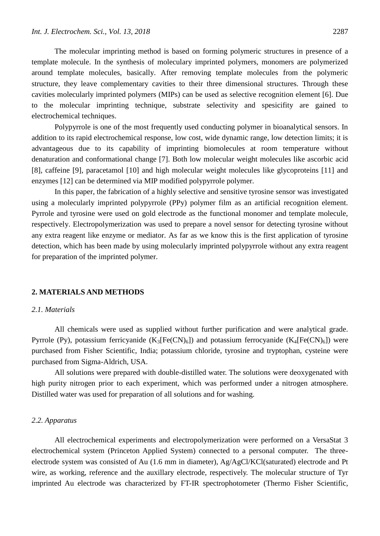The molecular imprinting method is based on forming polymeric structures in presence of a template molecule. In the synthesis of moleculary imprinted polymers, monomers are polymerized around template molecules, basically. After removing template molecules from the polymeric structure, they leave complementary cavities to their three dimensional structures. Through these cavities molecularly imprinted polymers (MIPs) can be used as selective recognition element [6]. Due to the molecular imprinting technique, substrate selectivity and spesicifity are gained to electrochemical techniques.

Polypyrrole is one of the most frequently used conducting polymer in bioanalytical sensors. In addition to its rapid electrochemical response, low cost, wide dynamic range, low detection limits; it is advantageous due to its capability of imprinting biomolecules at room temperature without denaturation and conformational change [7]. Both low molecular weight molecules like ascorbic acid [8], caffeine [9], paracetamol [10] and high molecular weight molecules like glycoproteins [11] and enzymes [12] can be determined via MIP modified polypyrrole polymer.

In this paper, the fabrication of a highly selective and sensitive tyrosine sensor was investigated using a molecularly imprinted polypyrrole (PPy) polymer film as an artificial recognition element. Pyrrole and tyrosine were used on gold electrode as the functional monomer and template molecule, respectively. Electropolymerization was used to prepare a novel sensor for detecting tyrosine without any extra reagent like enzyme or mediator. As far as we know this is the first application of tyrosine detection, which has been made by using molecularly imprinted polypyrrole without any extra reagent for preparation of the imprinted polymer.

#### **2. MATERIALS AND METHODS**

# *2.1. Materials*

All chemicals were used as supplied without further purification and were analytical grade. Pyrrole (Py), potassium ferricyanide  $(K_3[Fe(CN)_6])$  and potassium ferrocyanide  $(K_4[Fe(CN)_6])$  were purchased from Fisher Scientific, India; potassium chloride, tyrosine and tryptophan, cysteine were purchased from Sigma-Aldrich, USA.

All solutions were prepared with double-distilled water. The solutions were deoxygenated with high purity nitrogen prior to each experiment, which was performed under a nitrogen atmosphere. Distilled water was used for preparation of all solutions and for washing.

#### *2.2. Apparatus*

All electrochemical experiments and electropolymerization were performed on a VersaStat 3 electrochemical system (Princeton Applied System) connected to a personal computer. The threeelectrode system was consisted of Au (1.6 mm in diameter), Ag/AgCl/KCl(saturated) electrode and Pt wire, as working, reference and the auxillary electrode, respectively. The molecular structure of Tyr imprinted Au electrode was characterized by FT-IR spectrophotometer (Thermo Fisher Scientific,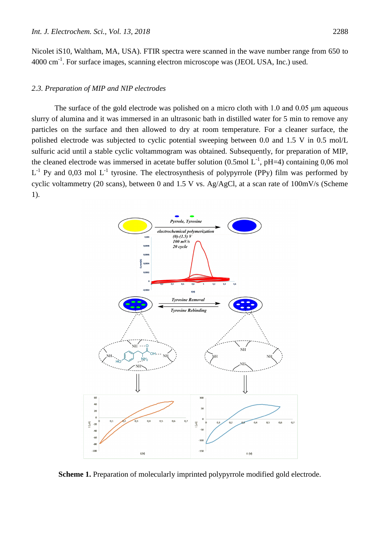Nicolet iS10, Waltham, MA, USA). FTIR spectra were scanned in the wave number range from 650 to 4000 cm<sup>-1</sup>. For surface images, scanning electron microscope was (JEOL USA, Inc.) used.

#### *2.3. Preparation of MIP and NIP electrodes*

The surface of the gold electrode was polished on a micro cloth with 1.0 and 0.05 μm aqueous slurry of alumina and it was immersed in an ultrasonic bath in distilled water for 5 min to remove any particles on the surface and then allowed to dry at room temperature. For a cleaner surface, the polished electrode was subjected to cyclic potential sweeping between 0.0 and 1.5 V in 0.5 mol/L sulfuric acid until a stable cyclic voltammogram was obtained. Subsequently, for preparation of MIP, the cleaned electrode was immersed in acetate buffer solution  $(0.5 \text{ mol L}^{-1}, \text{pH=4})$  containing 0,06 mol  $L^{-1}$  Py and 0,03 mol  $L^{-1}$  tyrosine. The electrosynthesis of polypyrrole (PPy) film was performed by cyclic voltammetry (20 scans), between 0 and 1.5 V vs. Ag/AgCl, at a scan rate of 100mV/s (Scheme 1).



**Scheme 1.** Preparation of molecularly imprinted polypyrrole modified gold electrode.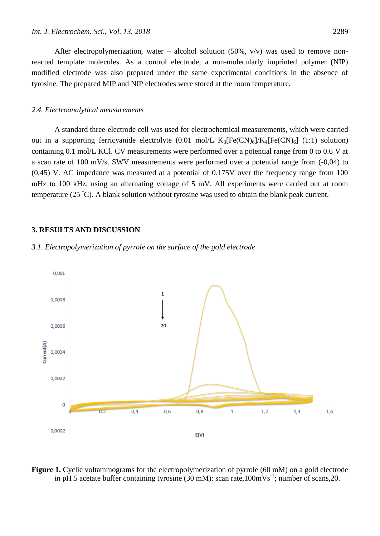After electropolymerization, water – alcohol solution  $(50\% , v/v)$  was used to remove nonreacted template molecules. As a control electrode, a non-molecularly imprinted polymer (NIP) modified electrode was also prepared under the same experimental conditions in the absence of tyrosine. The prepared MIP and NIP electrodes were stored at the room temperature.

#### *2.4. Electroanalytical measurements*

A standard three-electrode cell was used for electrochemical measurements, which were carried out in a supporting ferricyanide electrolyte  $(0.01 \text{ mol/L K}_3[\text{Fe(CN})_6]/K_4[\text{Fe(CN})_6]$  (1:1) solution) containing 0.1 mol/L KCl. CV measurements were performed over a potential range from 0 to 0.6 V at a scan rate of 100 mV/s. SWV measurements were performed over a potential range from (-0,04) to (0,45) V. AC impedance was measured at a potential of 0.175V over the frequency range from 100 mHz to 100 kHz, using an alternating voltage of 5 mV. All experiments were carried out at room temperature (25 °C). A blank solution without tyrosine was used to obtain the blank peak current.

#### **3. RESULTS AND DISCUSSION**

## *3.1. Electropolymerization of pyrrole on the surface of the gold electrode*



Figure 1. Cyclic voltammograms for the electropolymerization of pyrrole (60 mM) on a gold electrode in pH 5 acetate buffer containing tyrosine  $(30 \text{ mM})$ : scan rate,100mVs<sup>-1</sup>; number of scans,20.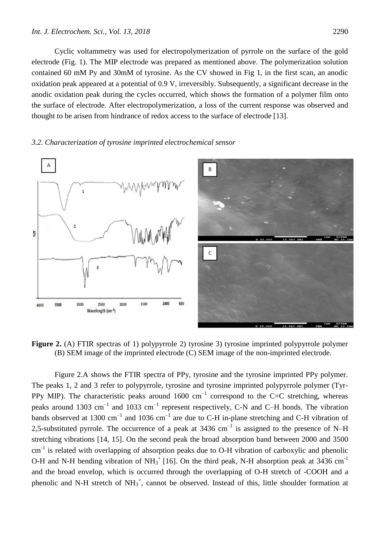Cyclic voltammetry was used for electropolymerization of pyrrole on the surface of the gold electrode (Fig. 1). The MIP electrode was prepared as mentioned above. The polymerization solution contained 60 mM Py and 30mM of tyrosine. As the CV showed in Fig 1, in the first scan, an anodic oxidation peak appeared at a potential of 0.9 V, irreversibly. Subsequently, a significant decrease in the anodic oxidation peak during the cycles occurred, which shows the formation of a polymer film onto the surface of electrode. After electropolymerization, a loss of the current response was observed and thought to be arisen from hindrance of redox access to the surface of electrode [13].

# *3.2. Characterization of tyrosine imprinted electrochemical sensor*



**Figure 2.** (A) FTIR spectras of 1) polypyrrole 2) tyrosine 3) tyrosine imprinted polypyrrole polymer (B) SEM image of the imprinted electrode (C) SEM image of the non-imprinted electrode.

Figure 2.A shows the FTIR spectra of PPy, tyrosine and the tyrosine imprinted PPy polymer. The peaks 1, 2 and 3 refer to polypyrrole, tyrosine and tyrosine imprinted polypyrrole polymer (Tyr-PPy MIP). The characteristic peaks around 1600 cm<sup>-1</sup> correspond to the C=C stretching, whereas peaks around 1303 cm<sup>-1</sup> and 1033 cm<sup>-1</sup> represent respectively, C-N and C-H bonds. The vibration bands observed at 1300 cm<sup>-1</sup> and 1036 cm<sup>-1</sup> are due to C-H in-plane stretching and C-H vibration of 2,5-substituted pyrrole. The occurrence of a peak at 3436 cm<sup>-1</sup> is assigned to the presence of N–H stretching vibrations [14, 15]. On the second peak the broad absorption band between 2000 and 3500  $cm<sup>-1</sup>$  is related with overlapping of absorption peaks due to O-H vibration of carboxylic and phenolic O-H and N-H bending vibration of NH<sub>3</sub><sup>+</sup> [16]. On the third peak, N-H absorption peak at 3436 cm<sup>-1</sup> and the broad envelop, which is occurred through the overlapping of O-H stretch of -COOH and a phenolic and N-H stretch of  $NH_3^+$ , cannot be observed. Instead of this, little shoulder formation at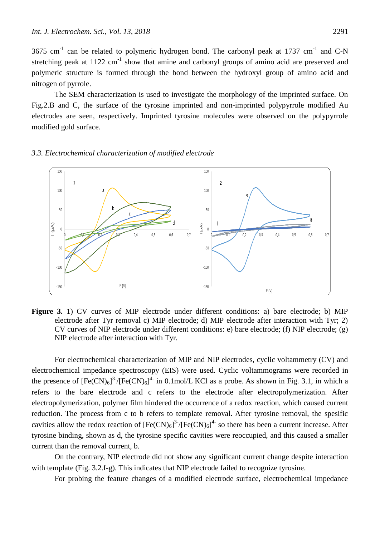3675 cm<sup>-1</sup> can be related to polymeric hydrogen bond. The carbonyl peak at 1737 cm<sup>-1</sup> and C-N stretching peak at  $1122 \text{ cm}^{-1}$  show that amine and carbonyl groups of amino acid are preserved and polymeric structure is formed through the bond between the hydroxyl group of amino acid and nitrogen of pyrrole.

The SEM characterization is used to investigate the morphology of the imprinted surface. On Fig.2.B and C, the surface of the tyrosine imprinted and non-imprinted polypyrrole modified Au electrodes are seen, respectively. Imprinted tyrosine molecules were observed on the polypyrrole modified gold surface.

#### *3.3. Electrochemical characterization of modified electrode*



Figure 3. 1) CV curves of MIP electrode under different conditions: a) bare electrode; b) MIP electrode after Tyr removal c) MIP electrode; d) MIP electrode after interaction with Tyr; 2) CV curves of NIP electrode under different conditions: e) bare electrode; (f) NIP electrode; (g) NIP electrode after interaction with Tyr.

For electrochemical characterization of MIP and NIP electrodes, cyclic voltammetry (CV) and electrochemical impedance spectroscopy (EIS) were used. Cyclic voltammograms were recorded in the presence of  $[Fe(CN)_6]^3$ <sup>-</sup>/ $[Fe(CN)_6]^4$ <sup>-</sup> in 0.1mol/L KCl as a probe. As shown in Fig. 3.1, in which a refers to the bare electrode and c refers to the electrode after electropolymerization. After electropolymerization, polymer film hindered the occurrence of a redox reaction, which caused current reduction. The process from c to b refers to template removal. After tyrosine removal, the spesific cavities allow the redox reaction of  $[Fe(CN)_6]^{3.7}$   $[Fe(CN)_6]^{4.5}$  so there has been a current increase. After tyrosine binding, shown as d, the tyrosine specific cavities were reoccupied, and this caused a smaller current than the removal current, b.

On the contrary, NIP electrode did not show any significant current change despite interaction with template (Fig. 3.2.f-g). This indicates that NIP electrode failed to recognize tyrosine.

For probing the feature changes of a modified electrode surface, electrochemical impedance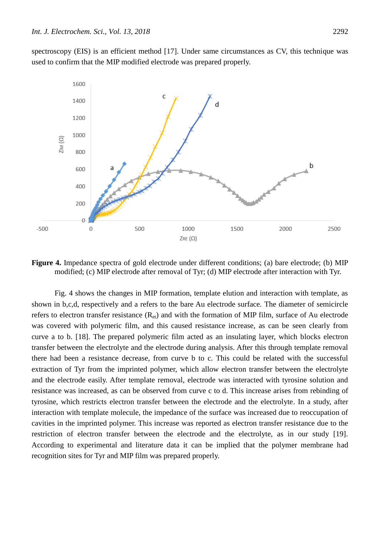spectroscopy (EIS) is an efficient method [17]. Under same circumstances as CV, this technique was used to confirm that the MIP modified electrode was prepared properly.



**Figure 4.** Impedance spectra of gold electrode under different conditions; (a) bare electrode; (b) MIP modified; (c) MIP electrode after removal of Tyr; (d) MIP electrode after interaction with Tyr.

Fig. 4 shows the changes in MIP formation, template elution and interaction with template, as shown in b,c,d, respectively and a refers to the bare Au electrode surface. The diameter of semicircle refers to electron transfer resistance  $(R_{et})$  and with the formation of MIP film, surface of Au electrode was covered with polymeric film, and this caused resistance increase, as can be seen clearly from curve a to b. [18]. The prepared polymeric film acted as an insulating layer, which blocks electron transfer between the electrolyte and the electrode during analysis. After this through template removal there had been a resistance decrease, from curve b to c. This could be related with the successful extraction of Tyr from the imprinted polymer, which allow electron transfer between the electrolyte and the electrode easily. After template removal, electrode was interacted with tyrosine solution and resistance was increased, as can be observed from curve c to d. This increase arises from rebinding of tyrosine, which restricts electron transfer between the electrode and the electrolyte. In a study, after interaction with template molecule, the impedance of the surface was increased due to reoccupation of cavities in the imprinted polymer. This increase was reported as electron transfer resistance due to the restriction of electron transfer between the electrode and the electrolyte, as in our study [19]. According to experimental and literature data it can be implied that the polymer membrane had recognition sites for Tyr and MIP film was prepared properly.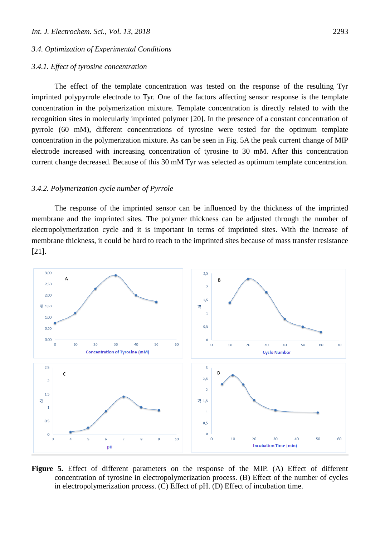#### *3.4. Optimization of Experimental Conditions*

#### *3.4.1. Effect of tyrosine concentration*

The effect of the template concentration was tested on the response of the resulting Tyr imprinted polypyrrole electrode to Tyr. One of the factors affecting sensor response is the template concentration in the polymerization mixture. Template concentration is directly related to with the recognition sites in molecularly imprinted polymer [20]. In the presence of a constant concentration of pyrrole (60 mM), different concentrations of tyrosine were tested for the optimum template concentration in the polymerization mixture. As can be seen in Fig. 5A the peak current change of MIP electrode increased with increasing concentration of tyrosine to 30 mM. After this concentration current change decreased. Because of this 30 mM Tyr was selected as optimum template concentration.

#### *3.4.2. Polymerization cycle number of Pyrrole*

The response of the imprinted sensor can be influenced by the thickness of the imprinted membrane and the imprinted sites. The polymer thickness can be adjusted through the number of electropolymerization cycle and it is important in terms of imprinted sites. With the increase of membrane thickness, it could be hard to reach to the imprinted sites because of mass transfer resistance [21].



**Figure 5.** Effect of different parameters on the response of the MIP. (A) Effect of different concentration of tyrosine in electropolymerization process. (B) Effect of the number of cycles in electropolymerization process. (C) Effect of pH. (D) Effect of incubation time.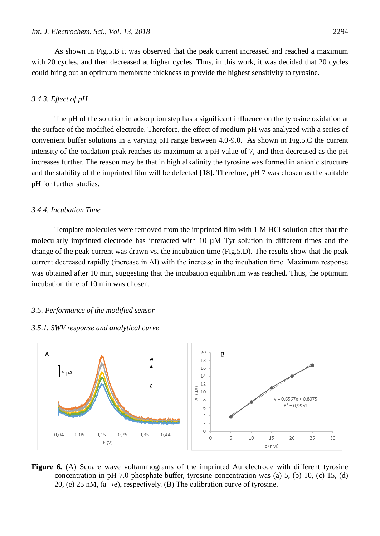As shown in Fig.5.B it was observed that the peak current increased and reached a maximum with 20 cycles, and then decreased at higher cycles. Thus, in this work, it was decided that 20 cycles could bring out an optimum membrane thickness to provide the highest sensitivity to tyrosine.

## *3.4.3. Effect of pH*

The pH of the solution in adsorption step has a significant influence on the tyrosine oxidation at the surface of the modified electrode. Therefore, the effect of medium pH was analyzed with a series of convenient buffer solutions in a varying pH range between 4.0-9.0. As shown in Fig.5.C the current intensity of the oxidation peak reaches its maximum at a pH value of 7, and then decreased as the pH increases further. The reason may be that in high alkalinity the tyrosine was formed in anionic structure and the stability of the imprinted film will be defected [18]. Therefore, pH 7 was chosen as the suitable pH for further studies.

#### *3.4.4. Incubation Time*

Template molecules were removed from the imprinted film with 1 M HCl solution after that the molecularly imprinted electrode has interacted with 10 µM Tyr solution in different times and the change of the peak current was drawn vs. the incubation time (Fig.5.D). The results show that the peak current decreased rapidly (increase in  $\Delta I$ ) with the increase in the incubation time. Maximum response was obtained after 10 min, suggesting that the incubation equilibrium was reached. Thus, the optimum incubation time of 10 min was chosen.

#### *3.5. Performance of the modified sensor*

## *3.5.1. SWV response and analytical curve*



**Figure 6.** (A) Square wave voltammograms of the imprinted Au electrode with different tyrosine concentration in pH 7.0 phosphate buffer, tyrosine concentration was (a) 5, (b) 10, (c) 15, (d) 20, (e) 25 nM,  $(a\rightarrow e)$ , respectively. (B) The calibration curve of tyrosine.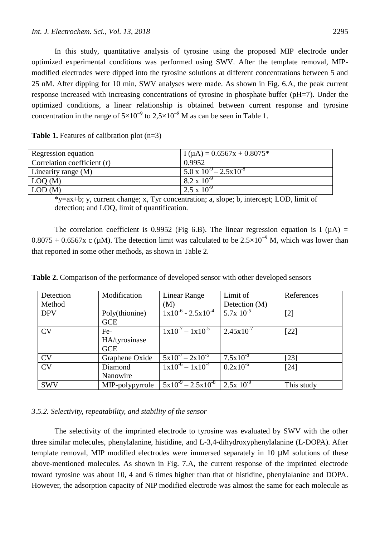In this study, quantitative analysis of tyrosine using the proposed MIP electrode under optimized experimental conditions was performed using SWV. After the template removal, MIPmodified electrodes were dipped into the tyrosine solutions at different concentrations between 5 and 25 nM. After dipping for 10 min, SWV analyses were made. As shown in Fig. 6.A, the peak current response increased with increasing concentrations of tyrosine in phosphate buffer (pH=7). Under the optimized conditions, a linear relationship is obtained between current response and tyrosine concentration in the range of  $5\times10^{-9}$  to  $2,5\times10^{-8}$  M as can be seen in Table 1.

| Regression equation         | $I(\mu A) = 0.6567x + 0.8075*$            |
|-----------------------------|-------------------------------------------|
| Correlation coefficient (r) | 0.9952                                    |
| Linearity range (M)         | $5.0 \times 10^{-9} - 2.5 \times 10^{-8}$ |
| $\mid$ LOQ (M)              | $8.2 \times 10^{-9}$                      |
| LOD(M)                      | $2.5 \times 10^{-9}$                      |

**Table 1.** Features of calibration plot (n=3)

\*y=ax+b; y, current change; x, Tyr concentration; a, slope; b, intercept; LOD, limit of detection; and LOQ, limit of quantification.

The correlation coefficient is 0.9952 (Fig 6.B). The linear regression equation is I ( $\mu$ A) =  $0.8075 + 0.6567x$  c (µM). The detection limit was calculated to be  $2.5 \times 10^{-9}$  M, which was lower than that reported in some other methods, as shown in Table 2.

**Table 2.** Comparison of the performance of developed sensor with other developed sensors

| Detection  | Modification    | Linear Range                                                                  | Limit of                 | References |
|------------|-----------------|-------------------------------------------------------------------------------|--------------------------|------------|
| Method     |                 | (M)                                                                           | Detection (M)            |            |
| <b>DPV</b> | Poly(thionine)  | $1x10^{-6} - 2.5x10^{-4}$                                                     | $5.7x\overline{10^{-5}}$ | $[2]$      |
|            | <b>GCE</b>      |                                                                               |                          |            |
| CV         | Fe-             | $1x10^{-7} - 1x10^{-5}$                                                       | $2.45 \times 10^{-7}$    | $[22]$     |
|            | HA/tyrosinase   |                                                                               |                          |            |
|            | <b>GCE</b>      |                                                                               |                          |            |
| <b>CV</b>  | Graphene Oxide  | $5x10^{-7} - 2x10^{-5}$                                                       | $7.5x10^{-8}$            | [23]       |
| <b>CV</b>  | Diamond         | $1x10^{-6} - 1x10^{-4}$                                                       | $0.2x10^{-6}$            | [24]       |
|            | Nanowire        |                                                                               |                          |            |
| <b>SWV</b> | MIP-polypyrrole | $\frac{1}{2}$ 5x10 <sup>-9</sup> – 2.5x10 <sup>-8</sup> 2.5x 10 <sup>-9</sup> |                          | This study |

#### *3.5.2. Selectivity, repeatability, and stability of the sensor*

The selectivity of the imprinted electrode to tyrosine was evaluated by SWV with the other three similar molecules, phenylalanine, histidine, and L-3,4-dihydroxyphenylalanine (L-DOPA). After template removal, MIP modified electrodes were immersed separately in 10 µM solutions of these above-mentioned molecules. As shown in Fig. 7.A, the current response of the imprinted electrode toward tyrosine was about 10, 4 and 6 times higher than that of histidine, phenylalanine and DOPA. However, the adsorption capacity of NIP modified electrode was almost the same for each molecule as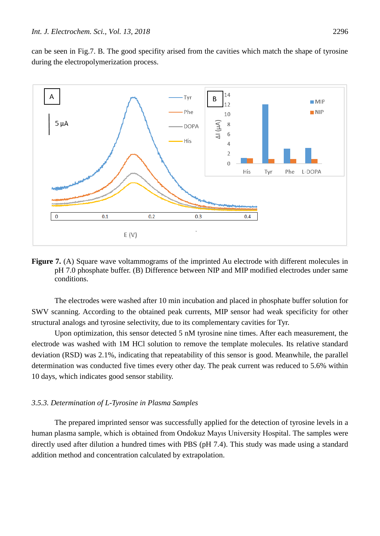can be seen in Fig.7. B. The good specifity arised from the cavities which match the shape of tyrosine during the electropolymerization process.



**Figure 7.** (A) Square wave voltammograms of the imprinted Au electrode with different molecules in pH 7.0 phosphate buffer. (B) Difference between NIP and MIP modified electrodes under same conditions.

The electrodes were washed after 10 min incubation and placed in phosphate buffer solution for SWV scanning. According to the obtained peak currents, MIP sensor had weak specificity for other structural analogs and tyrosine selectivity, due to its complementary cavities for Tyr.

Upon optimization, this sensor detected 5 nM tyrosine nine times. After each measurement, the electrode was washed with 1M HCl solution to remove the template molecules. Its relative standard deviation (RSD) was 2.1%, indicating that repeatability of this sensor is good. Meanwhile, the parallel determination was conducted five times every other day. The peak current was reduced to 5.6% within 10 days, which indicates good sensor stability.

## *3.5.3. Determination of L-Tyrosine in Plasma Samples*

The prepared imprinted sensor was successfully applied for the detection of tyrosine levels in a human plasma sample, which is obtained from Ondokuz Mayıs University Hospital. The samples were directly used after dilution a hundred times with PBS (pH 7.4). This study was made using a standard addition method and concentration calculated by extrapolation.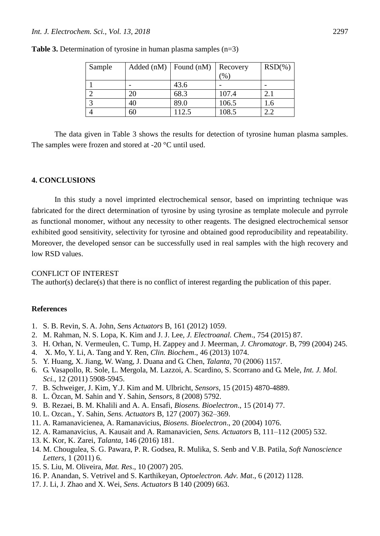| Sample | Added(nM) | Found (nM) | Recovery | $RSD(\% )$ |
|--------|-----------|------------|----------|------------|
|        |           |            | $(\%)$   |            |
|        |           | 43.6       |          |            |
|        | 20        | 68.3       | 107.4    |            |
|        | 40        | 89.0       | 106.5    | .0         |
|        | 60        | 112.5      | 108.5    | 2.2        |

**Table 3.** Determination of tyrosine in human plasma samples (n=3)

The data given in Table 3 shows the results for detection of tyrosine human plasma samples. The samples were frozen and stored at -20 °C until used.

## **4. CONCLUSIONS**

In this study a novel imprinted electrochemical sensor, based on imprinting technique was fabricated for the direct determination of tyrosine by using tyrosine as template molecule and pyrrole as functional monomer, without any necessity to other reagents. The designed electrochemical sensor exhibited good sensitivity, selectivity for tyrosine and obtained good reproducibility and repeatability. Moreover, the developed sensor can be successfully used in real samples with the high recovery and low RSD values.

#### CONFLICT OF INTEREST

The author(s) declare(s) that there is no conflict of interest regarding the publication of this paper.

#### **References**

- 1. S. B. Revin, S. A. John, *Sens Actuators* B, 161 (2012) 1059.
- 2. M. Rahman, N. S. Lopa, K. Kim and J. J. Lee*, J. Electroanal. Chem*., 754 (2015) 87.
- 3. H. Orhan, N. Vermeulen, C. Tump, H. Zappey and J. Meerman, *J. Chromatogr*. B, 799 (2004) 245.
- 4. X. Mo, Y. Li, A. Tang and Y. Ren, *Clin. Biochem*., 46 (2013) 1074.
- 5. Y. Huang, X. Jiang, W. Wang, J. Duana and G. Chen, *Talanta*, 70 (2006) 1157.
- 6. G. Vasapollo, R. Sole, L. Mergola, M. Lazzoi, A. Scardino, S. Scorrano and G. Mele, *Int. J. Mol. Sci.*, 12 (2011) 5908-5945.
- 7. B. Schweiger, J. Kim, Y.J. Kim and M. Ulbricht, *Sensors,* 15 (2015) 4870-4889.
- 8. L. Özcan, M. Sahin and Y. Sahin, *Sensors*, 8 (2008) 5792.
- 9. B. Rezaei, B. M. Khalili and A. A. Ensafi, *Biosens. Bioelectron*., 15 (2014) 77.
- 10. L. Ozcan., Y. Sahin, *Sens. Actuators* B, 127 (2007) 362–369.
- 11. A. Ramanavicienea, A. Ramanavicius, *Biosens. Bioelectron*., 20 (2004) 1076.
- 12. A. Ramanavicius, A. Kausait and A. Ramanavicien, *Sens. Actuators* B, 111–112 (2005) 532.
- 13. K. Kor, K. Zarei, *Talanta*, 146 (2016) 181.
- 14. M. Chougulea, S. G. Pawara, P. R. Godsea, R. Mulika, S. Senb and V.B. Patila, *Soft Nanoscience Letters*, 1 (2011) 6.
- 15. S. Liu, M. Oliveira, *Mat. Res*., 10 (2007) 205.
- 16. P. Anandan, S. Vetrivel and S. Karthikeyan, *Optoelectron. Adv. Mat*., 6 (2012) 1128.
- 17. J. Li, J. Zhao and X. Wei, *Sens. Actuators* B 140 (2009) 663.